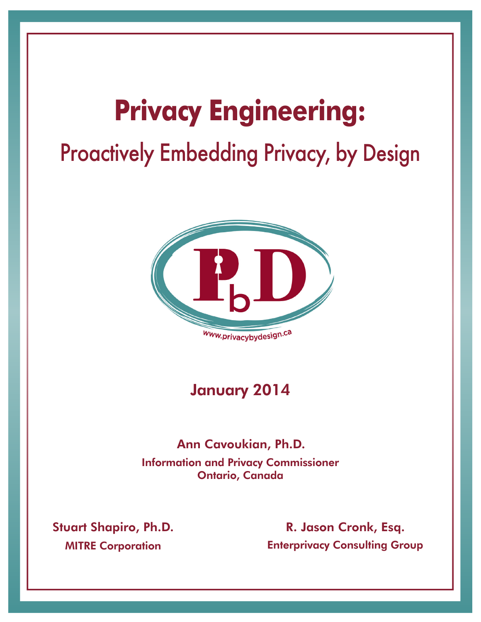# **Privacy Engineering:** Proactively Embedding Privacy, by Design



### January 2014

#### Information and Privacy Commissioner Ontario, Canada Ann Cavoukian, Ph.D.

**MITRE Corporation** Stuart Shapiro, Ph.D. Enterprivacy Consulting Group R. Jason Cronk, Esq.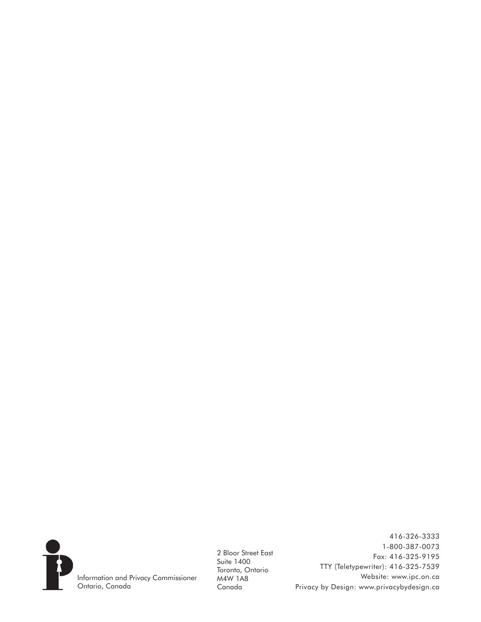

2 Bloor Street East Suite 1400 Toronto, Ontario M4W 1A8 Canada

416-326-3333 1-800-387-0073 Fax: 416-325-9195 TTY (Teletypewriter): 416-325-7539 Website: www.ipc.on.ca Privacy by Design: www.privacybydesign.ca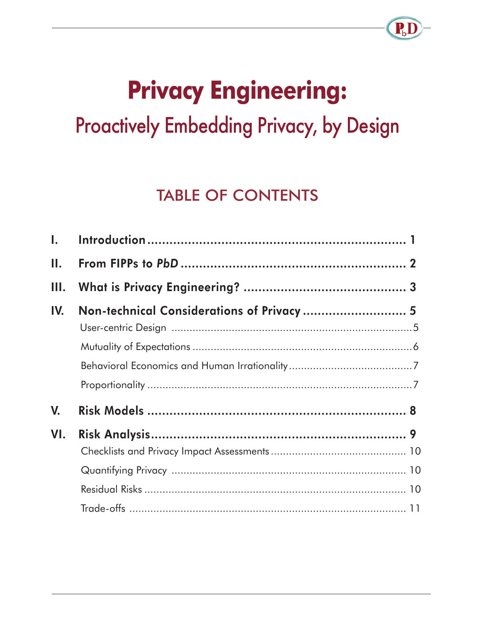# **Privacy Engineering: Proactively Embedding Privacy, by Design**

R

# **TABLE OF CONTENTS**

| $\mathbf{I}$ . |                                           |  |
|----------------|-------------------------------------------|--|
| II.            |                                           |  |
| III.           |                                           |  |
| IV.            | Non-technical Considerations of Privacy 5 |  |
|                |                                           |  |
|                |                                           |  |
|                |                                           |  |
|                |                                           |  |
| V.             |                                           |  |
| VI.            |                                           |  |
|                |                                           |  |
|                |                                           |  |
|                |                                           |  |
|                |                                           |  |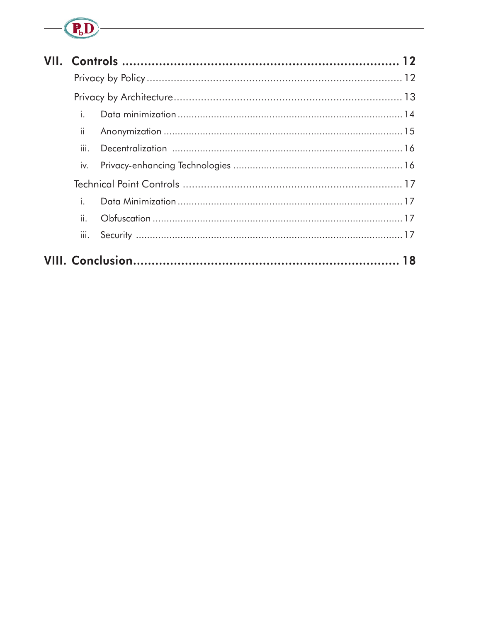# $-\left(\overline{\mathbf{P}_b}\mathbf{D}\right)$

|  | i.   |  |
|--|------|--|
|  | ii.  |  |
|  | iii. |  |
|  | iv.  |  |
|  |      |  |
|  | i.   |  |
|  | ii.  |  |
|  | III. |  |
|  |      |  |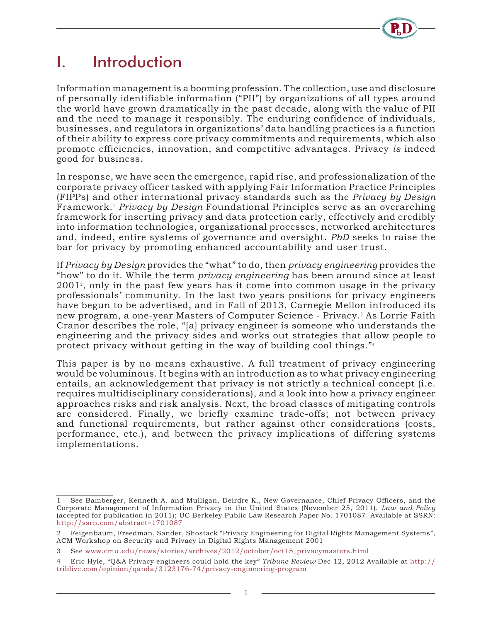# I. Introduction

Information management is a booming profession. The collection, use and disclosure of personally identifiable information ("PII") by organizations of all types around the world have grown dramatically in the past decade, along with the value of PII and the need to manage it responsibly. The enduring confidence of individuals, businesses, and regulators in organizations' data handling practices is a function of their ability to express core privacy commitments and requirements, which also promote efficiencies, innovation, and competitive advantages. Privacy *is* indeed good for business.

In response, we have seen the emergence, rapid rise, and professionalization of the corporate privacy officer tasked with applying Fair Information Practice Principles (FIPPs) and other international privacy standards such as the *Privacy by Design* Framework.<sup>1</sup> *Privacy by Design* Foundational Principles serve as an overarching framework for inserting privacy and data protection early, effectively and credibly into information technologies, organizational processes, networked architectures and, indeed, entire systems of governance and oversight. *PbD* seeks to raise the bar for privacy by promoting enhanced accountability and user trust.

If *Privacy by Design* provides the "what" to do, then *privacy engineering* provides the "how" to do it. While the term *privacy engineering* has been around since at least 2001<sup>2</sup> , only in the past few years has it come into common usage in the privacy professionals' community. In the last two years positions for privacy engineers have begun to be advertised, and in Fall of 2013, Carnegie Mellon introduced its new program, a one-year Masters of Computer Science - Privacy.<sup>3</sup> As Lorrie Faith Cranor describes the role, "[a] privacy engineer is someone who understands the engineering and the privacy sides and works out strategies that allow people to protect privacy without getting in the way of building cool things."<sup>4</sup>

This paper is by no means exhaustive. A full treatment of privacy engineering would be voluminous. It begins with an introduction as to what privacy engineering entails, an acknowledgement that privacy is not strictly a technical concept (i.e. requires multidisciplinary considerations), and a look into how a privacy engineer approaches risks and risk analysis. Next, the broad classes of mitigating controls are considered. Finally, we briefly examine trade-offs; not between privacy and functional requirements, but rather against other considerations (costs, performance, etc.), and between the privacy implications of differing systems implementations.

<sup>1</sup> See Bamberger, Kenneth A. and Mulligan, Deirdre K., New Governance, Chief Privacy Officers, and the Corporate Management of Information Privacy in the United States (November 25, 2011). *Law and Policy* (accepted for publication in 2011); UC Berkeley Public Law Research Paper No. 1701087. Available at SSRN: http://ssrn.com/abstract=1701087

<sup>2</sup> Feigenbaum, Freedman, Sander, Shostack "Privacy Engineering for Digital Rights Management Systems", ACM Workshop on Security and Privacy in Digital Rights Management 2001

<sup>3</sup> See www.cmu.edu/news/stories/archives/2012/october/oct15\_privacymasters.html

<sup>4</sup> Eric Hyle, "Q&A Privacy engineers could hold the key" *Tribune Review* Dec 12, 2012 Available at http:// triblive.com/opinion/qanda/3123176-74/privacy-engineering-program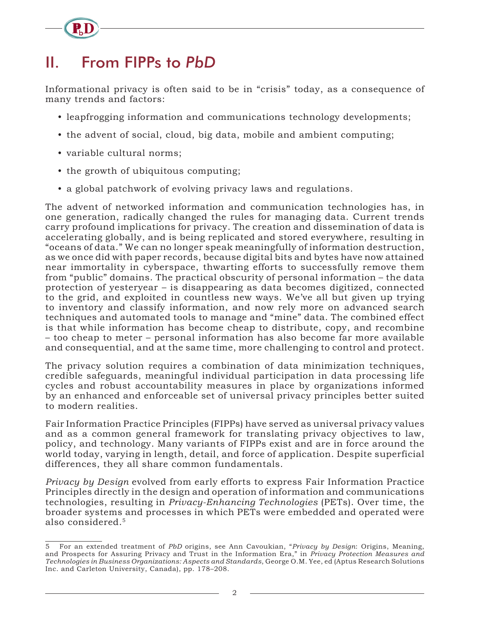# II. From FIPPs to *PbD*

Informational privacy is often said to be in "crisis" today, as a consequence of many trends and factors:

- leapfrogging information and communications technology developments;
- the advent of social, cloud, big data, mobile and ambient computing;
- variable cultural norms;
- the growth of ubiquitous computing;
- a global patchwork of evolving privacy laws and regulations.

The advent of networked information and communication technologies has, in one generation, radically changed the rules for managing data. Current trends carry profound implications for privacy. The creation and dissemination of data is accelerating globally, and is being replicated and stored everywhere, resulting in "oceans of data." We can no longer speak meaningfully of information destruction, as we once did with paper records, because digital bits and bytes have now attained near immortality in cyberspace, thwarting efforts to successfully remove them from "public" domains. The practical obscurity of personal information – the data protection of yesteryear – is disappearing as data becomes digitized, connected to the grid, and exploited in countless new ways. We've all but given up trying to inventory and classify information, and now rely more on advanced search techniques and automated tools to manage and "mine" data. The combined effect is that while information has become cheap to distribute, copy, and recombine – too cheap to meter – personal information has also become far more available and consequential, and at the same time, more challenging to control and protect.

The privacy solution requires a combination of data minimization techniques, credible safeguards, meaningful individual participation in data processing life cycles and robust accountability measures in place by organizations informed by an enhanced and enforceable set of universal privacy principles better suited to modern realities.

Fair Information Practice Principles (FIPPs) have served as universal privacy values and as a common general framework for translating privacy objectives to law, policy, and technology. Many variants of FIPPs exist and are in force around the world today, varying in length, detail, and force of application. Despite superficial differences, they all share common fundamentals.

*Privacy by Design* evolved from early efforts to express Fair Information Practice Principles directly in the design and operation of information and communications technologies, resulting in *Privacy-Enhancing Technologies* (PETs). Over time, the broader systems and processes in which PETs were embedded and operated were also considered.5

<sup>5</sup> For an extended treatment of *PbD* origins, see Ann Cavoukian, "*Privacy by Design*: Origins, Meaning, and Prospects for Assuring Privacy and Trust in the Information Era," in *Privacy Protection Measures and Technologies in Business Organizations: Aspects and Standards*, George O.M. Yee, ed (Aptus Research Solutions Inc. and Carleton University, Canada), pp. 178–208.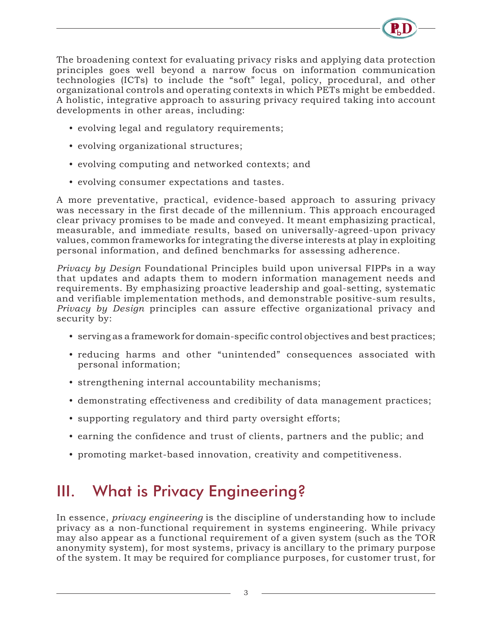

The broadening context for evaluating privacy risks and applying data protection principles goes well beyond a narrow focus on information communication technologies (ICTs) to include the "soft" legal, policy, procedural, and other organizational controls and operating contexts in which PETs might be embedded. A holistic, integrative approach to assuring privacy required taking into account developments in other areas, including:

- evolving legal and regulatory requirements;
- evolving organizational structures;
- evolving computing and networked contexts; and
- evolving consumer expectations and tastes.

A more preventative, practical, evidence-based approach to assuring privacy was necessary in the first decade of the millennium. This approach encouraged clear privacy promises to be made and conveyed. It meant emphasizing practical, measurable, and immediate results, based on universally-agreed-upon privacy values, common frameworks for integrating the diverse interests at play in exploiting personal information, and defined benchmarks for assessing adherence.

*Privacy by Design* Foundational Principles build upon universal FIPPs in a way that updates and adapts them to modern information management needs and requirements. By emphasizing proactive leadership and goal-setting, systematic and verifiable implementation methods, and demonstrable positive-sum results, *Privacy by Design* principles can assure effective organizational privacy and security by:

- serving as a framework for domain-specific control objectives and best practices;
- reducing harms and other "unintended" consequences associated with personal information;
- strengthening internal accountability mechanisms;
- demonstrating effectiveness and credibility of data management practices;
- supporting regulatory and third party oversight efforts;
- earning the confidence and trust of clients, partners and the public; and
- promoting market-based innovation, creativity and competitiveness.

# III. What is Privacy Engineering?

In essence, *privacy engineering* is the discipline of understanding how to include privacy as a non-functional requirement in systems engineering. While privacy may also appear as a functional requirement of a given system (such as the TOR anonymity system), for most systems, privacy is ancillary to the primary purpose of the system. It may be required for compliance purposes, for customer trust, for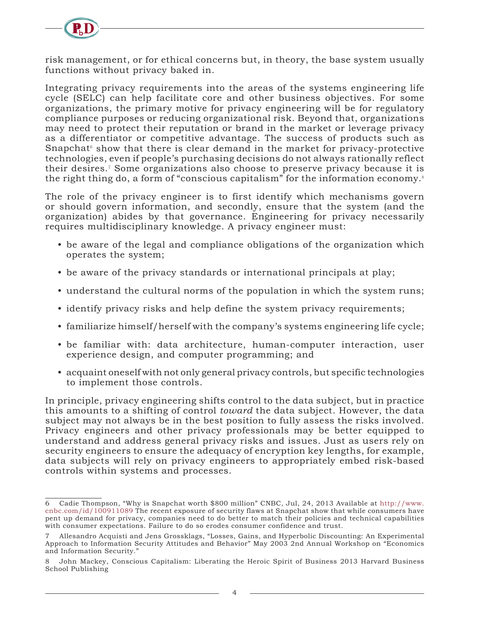

risk management, or for ethical concerns but, in theory, the base system usually functions without privacy baked in.

Integrating privacy requirements into the areas of the systems engineering life cycle (SELC) can help facilitate core and other business objectives. For some organizations, the primary motive for privacy engineering will be for regulatory compliance purposes or reducing organizational risk. Beyond that, organizations may need to protect their reputation or brand in the market or leverage privacy as a differentiator or competitive advantage. The success of products such as Snapchat<sup>6</sup> show that there is clear demand in the market for privacy-protective technologies, even if people's purchasing decisions do not always rationally reflect their desires.<sup>7</sup> Some organizations also choose to preserve privacy because it is the right thing do, a form of "conscious capitalism" for the information economy.<sup>8</sup>

The role of the privacy engineer is to first identify which mechanisms govern or should govern information, and secondly, ensure that the system (and the organization) abides by that governance. Engineering for privacy necessarily requires multidisciplinary knowledge. A privacy engineer must:

- be aware of the legal and compliance obligations of the organization which operates the system;
- be aware of the privacy standards or international principals at play;
- understand the cultural norms of the population in which the system runs;
- identify privacy risks and help define the system privacy requirements;
- familiarize himself/herself with the company's systems engineering life cycle;
- be familiar with: data architecture, human-computer interaction, user experience design, and computer programming; and
- acquaint oneself with not only general privacy controls, but specific technologies to implement those controls.

In principle, privacy engineering shifts control to the data subject, but in practice this amounts to a shifting of control *toward* the data subject. However, the data subject may not always be in the best position to fully assess the risks involved. Privacy engineers and other privacy professionals may be better equipped to understand and address general privacy risks and issues. Just as users rely on security engineers to ensure the adequacy of encryption key lengths, for example, data subjects will rely on privacy engineers to appropriately embed risk-based controls within systems and processes.

<sup>6</sup> Cadie Thompson, "Why is Snapchat worth \$800 million" CNBC, Jul, 24, 2013 Available at http://www. cnbc.com/id/100911089 The recent exposure of security flaws at Snapchat show that while consumers have pent up demand for privacy, companies need to do better to match their policies and technical capabilities with consumer expectations. Failure to do so erodes consumer confidence and trust.

<sup>7</sup> Allesandro Acquisti and Jens Grossklags, "Losses, Gains, and Hyperbolic Discounting: An Experimental Approach to Information Security Attitudes and Behavior" May 2003 2nd Annual Workshop on "Economics and Information Security."

<sup>8</sup> John Mackey, Conscious Capitalism: Liberating the Heroic Spirit of Business 2013 Harvard Business School Publishing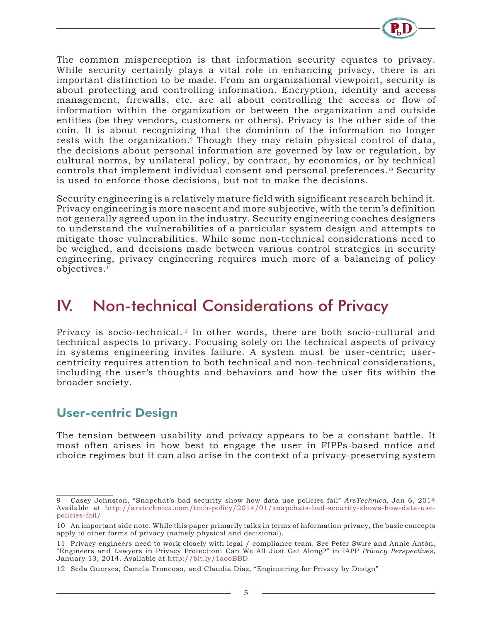

The common misperception is that information security equates to privacy. While security certainly plays a vital role in enhancing privacy, there is an important distinction to be made. From an organizational viewpoint, security is about protecting and controlling information. Encryption, identity and access management, firewalls, etc. are all about controlling the access or flow of information within the organization or between the organization and outside entities (be they vendors, customers or others). Privacy is the other side of the coin. It is about recognizing that the dominion of the information no longer rests with the organization.<sup>9</sup> Though they may retain physical control of data, the decisions about personal information are governed by law or regulation, by cultural norms, by unilateral policy, by contract, by economics, or by technical controls that implement individual consent and personal preferences.10 Security is used to enforce those decisions, but not to make the decisions.

Security engineering is a relatively mature field with significant research behind it. Privacy engineering is more nascent and more subjective, with the term's definition not generally agreed upon in the industry. Security engineering coaches designers to understand the vulnerabilities of a particular system design and attempts to mitigate those vulnerabilities. While some non-technical considerations need to be weighed, and decisions made between various control strategies in security engineering, privacy engineering requires much more of a balancing of policy objectives.<sup>11</sup>

### IV. Non-technical Considerations of Privacy

Privacy is socio-technical.<sup>12</sup> In other words, there are both socio-cultural and technical aspects to privacy. Focusing solely on the technical aspects of privacy in systems engineering invites failure. A system must be user-centric; usercentricity requires attention to both technical and non-technical considerations, including the user's thoughts and behaviors and how the user fits within the broader society.

#### User-centric Design

The tension between usability and privacy appears to be a constant battle. It most often arises in how best to engage the user in FIPPs-based notice and choice regimes but it can also arise in the context of a privacy-preserving system

<sup>9</sup> Casey Johnston, "Snapchat's bad security show how data use policies fail" *ArsTechnica,* Jan 6, 2014 Available at http://arstechnica.com/tech-policy/2014/01/snapchats-bad-security-shows-how-data-usepolicies-fail/

<sup>10</sup> An important side note. While this paper primarily talks in terms of information privacy, the basic concepts apply to other forms of privacy (namely physical and decisional).

<sup>11</sup> Privacy engineers need to work closely with legal / compliance team. See Peter Swire and Annie Antón, "Engineers and Lawyers in Privacy Protection: Can We All Just Get Along?" in IAPP *Privacy Perspectives,*  January 13, 2014. Available at http://bit.ly/1aooBBD

<sup>12</sup> Seda Guerses, Camela Troncoso, and Claudia Diaz, "Engineering for Privacy by Design"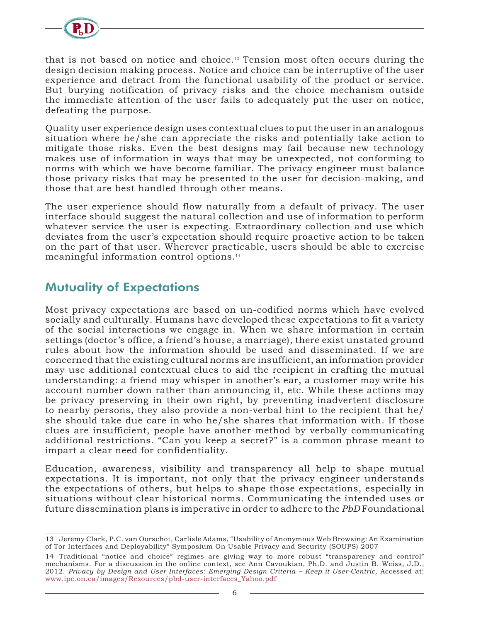

that is not based on notice and choice.13 Tension most often occurs during the design decision making process. Notice and choice can be interruptive of the user experience and detract from the functional usability of the product or service. But burying notification of privacy risks and the choice mechanism outside the immediate attention of the user fails to adequately put the user on notice, defeating the purpose.

Quality user experience design uses contextual clues to put the user in an analogous situation where he/she can appreciate the risks and potentially take action to mitigate those risks. Even the best designs may fail because new technology makes use of information in ways that may be unexpected, not conforming to norms with which we have become familiar. The privacy engineer must balance those privacy risks that may be presented to the user for decision-making, and those that are best handled through other means.

The user experience should flow naturally from a default of privacy. The user interface should suggest the natural collection and use of information to perform whatever service the user is expecting. Extraordinary collection and use which deviates from the user's expectation should require proactive action to be taken on the part of that user. Wherever practicable, users should be able to exercise meaningful information control options.<sup>14</sup>

#### Mutuality of Expectations

Most privacy expectations are based on un-codified norms which have evolved socially and culturally. Humans have developed these expectations to fit a variety of the social interactions we engage in. When we share information in certain settings (doctor's office, a friend's house, a marriage), there exist unstated ground rules about how the information should be used and disseminated. If we are concerned that the existing cultural norms are insufficient, an information provider may use additional contextual clues to aid the recipient in crafting the mutual understanding: a friend may whisper in another's ear, a customer may write his account number down rather than announcing it, etc. While these actions may be privacy preserving in their own right, by preventing inadvertent disclosure to nearby persons, they also provide a non-verbal hint to the recipient that he/ she should take due care in who he/she shares that information with. If those clues are insufficient, people have another method by verbally communicating additional restrictions. "Can you keep a secret?" is a common phrase meant to impart a clear need for confidentiality.

Education, awareness, visibility and transparency all help to shape mutual expectations. It is important, not only that the privacy engineer understands the expectations of others, but helps to shape those expectations, especially in situations without clear historical norms. Communicating the intended uses or future dissemination plans is imperative in order to adhere to the *PbD* Foundational

<sup>13</sup> Jeremy Clark, P.C. van Oorschot, Carlisle Adams, "Usability of Anonymous Web Browsing: An Examination of Tor Interfaces and Deployability" Symposium On Usable Privacy and Security (SOUPS) 2007

<sup>14</sup> Traditional "notice and choice" regimes are giving way to more robust "transparency and control" mechanisms. For a discussion in the online context, see Ann Cavoukian, Ph.D. and Justin B. Weiss, J.D., 2012. *Privacy by Design and User Interfaces: Emerging Design Criteria – Keep it User-Centric*, Accessed at: www.ipc.on.ca/images/Resources/pbd-user-interfaces\_Yahoo.pdf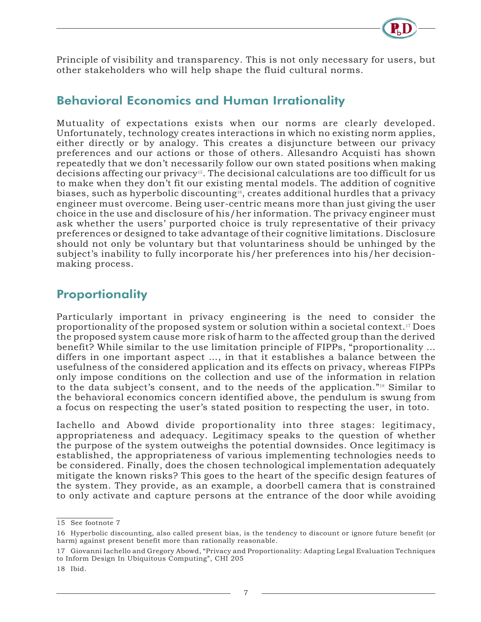

Principle of visibility and transparency. This is not only necessary for users, but other stakeholders who will help shape the fluid cultural norms.

#### Behavioral Economics and Human Irrationality

Mutuality of expectations exists when our norms are clearly developed. Unfortunately, technology creates interactions in which no existing norm applies, either directly or by analogy. This creates a disjuncture between our privacy preferences and our actions or those of others. Allesandro Acquisti has shown repeatedly that we don't necessarily follow our own stated positions when making decisions affecting our privacy<sup>15</sup>. The decisional calculations are too difficult for us to make when they don't fit our existing mental models. The addition of cognitive biases, such as hyperbolic discounting<sup>16</sup>, creates additional hurdles that a privacy engineer must overcome. Being user-centric means more than just giving the user choice in the use and disclosure of his/her information. The privacy engineer must ask whether the users' purported choice is truly representative of their privacy preferences or designed to take advantage of their cognitive limitations. Disclosure should not only be voluntary but that voluntariness should be unhinged by the subject's inability to fully incorporate his/her preferences into his/her decisionmaking process.

#### **Proportionality**

Particularly important in privacy engineering is the need to consider the proportionality of the proposed system or solution within a societal context.17 Does the proposed system cause more risk of harm to the affected group than the derived benefit? While similar to the use limitation principle of FIPPs, "proportionality … differs in one important aspect …, in that it establishes a balance between the usefulness of the considered application and its effects on privacy, whereas FIPPs only impose conditions on the collection and use of the information in relation to the data subject's consent, and to the needs of the application."18 Similar to the behavioral economics concern identified above, the pendulum is swung from a focus on respecting the user's stated position to respecting the user, in toto.

Iachello and Abowd divide proportionality into three stages: legitimacy, appropriateness and adequacy. Legitimacy speaks to the question of whether the purpose of the system outweighs the potential downsides. Once legitimacy is established, the appropriateness of various implementing technologies needs to be considered. Finally, does the chosen technological implementation adequately mitigate the known risks? This goes to the heart of the specific design features of the system. They provide, as an example, a doorbell camera that is constrained to only activate and capture persons at the entrance of the door while avoiding

<sup>15</sup> See footnote 7

<sup>16</sup> Hyperbolic discounting, also called present bias, is the tendency to discount or ignore future benefit (or harm) against present benefit more than rationally reasonable.

<sup>17</sup> Giovanni Iachello and Gregory Abowd, "Privacy and Proportionality: Adapting Legal Evaluation Techniques to Inform Design In Ubiquitous Computing", CHI 205

<sup>18</sup> Ibid.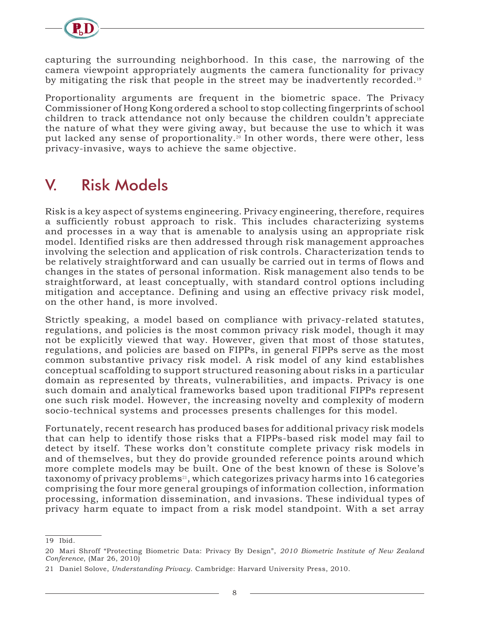

capturing the surrounding neighborhood. In this case, the narrowing of the camera viewpoint appropriately augments the camera functionality for privacy by mitigating the risk that people in the street may be inadvertently recorded.<sup>19</sup>

Proportionality arguments are frequent in the biometric space. The Privacy Commissioner of Hong Kong ordered a school to stop collecting fingerprints of school children to track attendance not only because the children couldn't appreciate the nature of what they were giving away, but because the use to which it was put lacked any sense of proportionality.<sup>20</sup> In other words, there were other, less privacy-invasive, ways to achieve the same objective.

# V. Risk Models

Risk is a key aspect of systems engineering. Privacy engineering, therefore, requires a sufficiently robust approach to risk. This includes characterizing systems and processes in a way that is amenable to analysis using an appropriate risk model. Identified risks are then addressed through risk management approaches involving the selection and application of risk controls. Characterization tends to be relatively straightforward and can usually be carried out in terms of flows and changes in the states of personal information. Risk management also tends to be straightforward, at least conceptually, with standard control options including mitigation and acceptance. Defining and using an effective privacy risk model, on the other hand, is more involved.

Strictly speaking, a model based on compliance with privacy-related statutes, regulations, and policies is the most common privacy risk model, though it may not be explicitly viewed that way. However, given that most of those statutes, regulations, and policies are based on FIPPs, in general FIPPs serve as the most common substantive privacy risk model. A risk model of any kind establishes conceptual scaffolding to support structured reasoning about risks in a particular domain as represented by threats, vulnerabilities, and impacts. Privacy is one such domain and analytical frameworks based upon traditional FIPPs represent one such risk model. However, the increasing novelty and complexity of modern socio-technical systems and processes presents challenges for this model.

Fortunately, recent research has produced bases for additional privacy risk models that can help to identify those risks that a FIPPs-based risk model may fail to detect by itself. These works don't constitute complete privacy risk models in and of themselves, but they do provide grounded reference points around which more complete models may be built. One of the best known of these is Solove's taxonomy of privacy problems<sup>21</sup>, which categorizes privacy harms into 16 categories comprising the four more general groupings of information collection, information processing, information dissemination, and invasions. These individual types of privacy harm equate to impact from a risk model standpoint. With a set array

<sup>19</sup> Ibid.

<sup>20</sup> Mari Shroff "Protecting Biometric Data: Privacy By Design", *2010 Biometric Institute of New Zealand Conference*, (Mar 26, 2010)

<sup>21</sup> Daniel Solove, *Understanding Privacy*. Cambridge: Harvard University Press, 2010.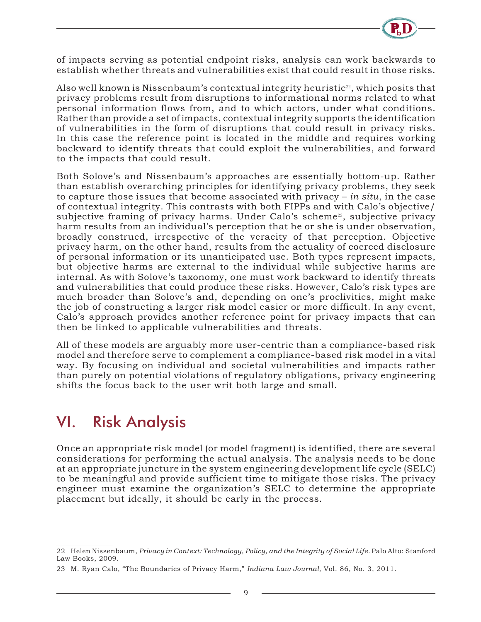

of impacts serving as potential endpoint risks, analysis can work backwards to establish whether threats and vulnerabilities exist that could result in those risks.

Also well known is Nissenbaum's contextual integrity heuristic<sup>22</sup>, which posits that privacy problems result from disruptions to informational norms related to what personal information flows from, and to which actors, under what conditions. Rather than provide a set of impacts, contextual integrity supports the identification of vulnerabilities in the form of disruptions that could result in privacy risks. In this case the reference point is located in the middle and requires working backward to identify threats that could exploit the vulnerabilities, and forward to the impacts that could result.

Both Solove's and Nissenbaum's approaches are essentially bottom-up. Rather than establish overarching principles for identifying privacy problems, they seek to capture those issues that become associated with privacy – *in situ*, in the case of contextual integrity. This contrasts with both FIPPs and with Calo's objective/ subjective framing of privacy harms. Under Calo's scheme<sup>23</sup>, subjective privacy harm results from an individual's perception that he or she is under observation, broadly construed, irrespective of the veracity of that perception. Objective privacy harm, on the other hand, results from the actuality of coerced disclosure of personal information or its unanticipated use. Both types represent impacts, but objective harms are external to the individual while subjective harms are internal. As with Solove's taxonomy, one must work backward to identify threats and vulnerabilities that could produce these risks. However, Calo's risk types are much broader than Solove's and, depending on one's proclivities, might make the job of constructing a larger risk model easier or more difficult. In any event, Calo's approach provides another reference point for privacy impacts that can then be linked to applicable vulnerabilities and threats.

All of these models are arguably more user-centric than a compliance-based risk model and therefore serve to complement a compliance-based risk model in a vital way. By focusing on individual and societal vulnerabilities and impacts rather than purely on potential violations of regulatory obligations, privacy engineering shifts the focus back to the user writ both large and small.

## VI. Risk Analysis

Once an appropriate risk model (or model fragment) is identified, there are several considerations for performing the actual analysis. The analysis needs to be done at an appropriate juncture in the system engineering development life cycle (SELC) to be meaningful and provide sufficient time to mitigate those risks. The privacy engineer must examine the organization's SELC to determine the appropriate placement but ideally, it should be early in the process.

<sup>22</sup> Helen Nissenbaum, *Privacy in Context: Technology, Policy, and the Integrity of Social Life.* Palo Alto: Stanford Law Books, 2009.

<sup>23</sup> M. Ryan Calo, "The Boundaries of Privacy Harm," *Indiana Law Journal,* Vol. 86, No. 3, 2011.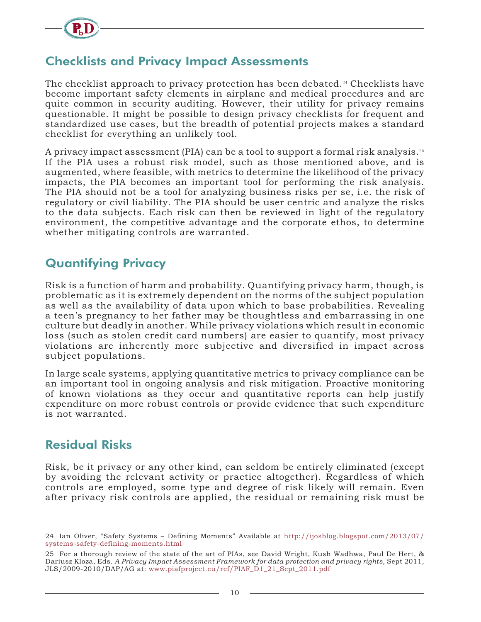

#### Checklists and Privacy Impact Assessments

The checklist approach to privacy protection has been debated.<sup>24</sup> Checklists have become important safety elements in airplane and medical procedures and are quite common in security auditing. However, their utility for privacy remains questionable. It might be possible to design privacy checklists for frequent and standardized use cases, but the breadth of potential projects makes a standard checklist for everything an unlikely tool.

A privacy impact assessment (PIA) can be a tool to support a formal risk analysis.<sup>25</sup> If the PIA uses a robust risk model, such as those mentioned above, and is augmented, where feasible, with metrics to determine the likelihood of the privacy impacts, the PIA becomes an important tool for performing the risk analysis. The PIA should not be a tool for analyzing business risks per se, i.e. the risk of regulatory or civil liability. The PIA should be user centric and analyze the risks to the data subjects. Each risk can then be reviewed in light of the regulatory environment, the competitive advantage and the corporate ethos, to determine whether mitigating controls are warranted.

#### Quantifying Privacy

Risk is a function of harm and probability. Quantifying privacy harm, though, is problematic as it is extremely dependent on the norms of the subject population as well as the availability of data upon which to base probabilities. Revealing a teen's pregnancy to her father may be thoughtless and embarrassing in one culture but deadly in another. While privacy violations which result in economic loss (such as stolen credit card numbers) are easier to quantify, most privacy violations are inherently more subjective and diversified in impact across subject populations.

In large scale systems, applying quantitative metrics to privacy compliance can be an important tool in ongoing analysis and risk mitigation. Proactive monitoring of known violations as they occur and quantitative reports can help justify expenditure on more robust controls or provide evidence that such expenditure is not warranted.

#### Residual Risks

Risk, be it privacy or any other kind, can seldom be entirely eliminated (except by avoiding the relevant activity or practice altogether). Regardless of which controls are employed, some type and degree of risk likely will remain. Even after privacy risk controls are applied, the residual or remaining risk must be

<sup>24</sup> Ian Oliver, "Safety Systems – Defining Moments" Available at http://ijosblog.blogspot.com/2013/07/ systems-safety-defining-moments.html

<sup>25</sup> For a thorough review of the state of the art of PIAs, see David Wright, Kush Wadhwa, Paul De Hert, & Dariusz Kloza, Eds. *A Privacy Impact Assessment Framework for data protection and privacy rights*, Sept 2011, JLS/2009-2010/DAP/AG at: www.piafproject.eu/ref/PIAF\_D1\_21\_Sept\_2011.pdf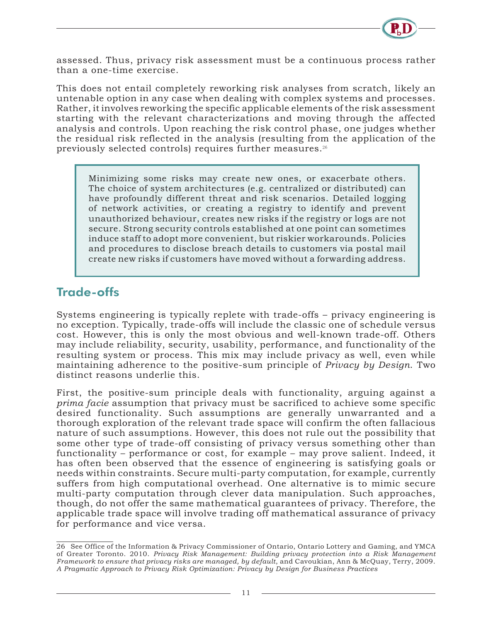

assessed. Thus, privacy risk assessment must be a continuous process rather than a one-time exercise.

This does not entail completely reworking risk analyses from scratch, likely an untenable option in any case when dealing with complex systems and processes. Rather, it involves reworking the specific applicable elements of the risk assessment starting with the relevant characterizations and moving through the affected analysis and controls. Upon reaching the risk control phase, one judges whether the residual risk reflected in the analysis (resulting from the application of the previously selected controls) requires further measures.<sup>26</sup>

Minimizing some risks may create new ones, or exacerbate others. The choice of system architectures (e.g. centralized or distributed) can have profoundly different threat and risk scenarios. Detailed logging of network activities, or creating a registry to identify and prevent unauthorized behaviour, creates new risks if the registry or logs are not secure. Strong security controls established at one point can sometimes induce staff to adopt more convenient, but riskier workarounds. Policies and procedures to disclose breach details to customers via postal mail create new risks if customers have moved without a forwarding address.

#### Trade-offs

Systems engineering is typically replete with trade-offs – privacy engineering is no exception. Typically, trade-offs will include the classic one of schedule versus cost. However, this is only the most obvious and well-known trade-off. Others may include reliability, security, usability, performance, and functionality of the resulting system or process. This mix may include privacy as well, even while maintaining adherence to the positive-sum principle of *Privacy by Design*. Two distinct reasons underlie this.

First, the positive-sum principle deals with functionality, arguing against a *prima facie* assumption that privacy must be sacrificed to achieve some specific desired functionality. Such assumptions are generally unwarranted and a thorough exploration of the relevant trade space will confirm the often fallacious nature of such assumptions. However, this does not rule out the possibility that some other type of trade-off consisting of privacy versus something other than functionality – performance or cost, for example – may prove salient. Indeed, it has often been observed that the essence of engineering is satisfying goals or needs within constraints. Secure multi-party computation, for example, currently suffers from high computational overhead. One alternative is to mimic secure multi-party computation through clever data manipulation. Such approaches, though, do not offer the same mathematical guarantees of privacy. Therefore, the applicable trade space will involve trading off mathematical assurance of privacy for performance and vice versa.

<sup>26</sup> See Office of the Information & Privacy Commissioner of Ontario, Ontario Lottery and Gaming, and YMCA of Greater Toronto. 2010. *Privacy Risk Management: Building privacy protection into a Risk Management Framework to ensure that privacy risks are managed, by default*, and Cavoukian, Ann & McQuay, Terry, 2009. *A Pragmatic Approach to Privacy Risk Optimization: Privacy by Design for Business Practices*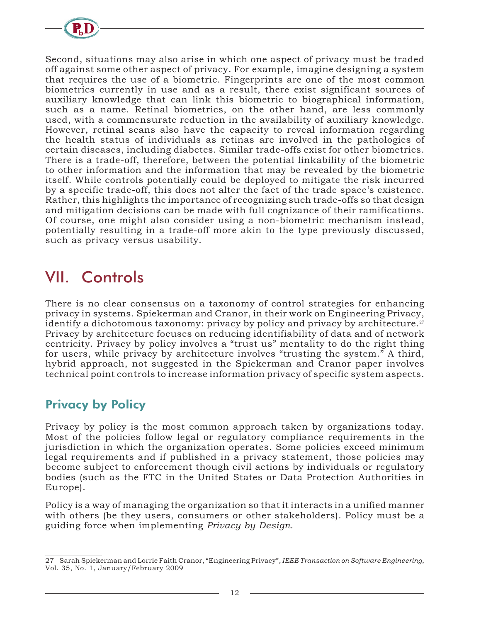

Second, situations may also arise in which one aspect of privacy must be traded off against some other aspect of privacy. For example, imagine designing a system that requires the use of a biometric. Fingerprints are one of the most common biometrics currently in use and as a result, there exist significant sources of auxiliary knowledge that can link this biometric to biographical information, such as a name. Retinal biometrics, on the other hand, are less commonly used, with a commensurate reduction in the availability of auxiliary knowledge. However, retinal scans also have the capacity to reveal information regarding the health status of individuals as retinas are involved in the pathologies of certain diseases, including diabetes. Similar trade-offs exist for other biometrics. There is a trade-off, therefore, between the potential linkability of the biometric to other information and the information that may be revealed by the biometric itself. While controls potentially could be deployed to mitigate the risk incurred by a specific trade-off, this does not alter the fact of the trade space's existence. Rather, this highlights the importance of recognizing such trade-offs so that design and mitigation decisions can be made with full cognizance of their ramifications. Of course, one might also consider using a non-biometric mechanism instead, potentially resulting in a trade-off more akin to the type previously discussed, such as privacy versus usability.

# VII. Controls

There is no clear consensus on a taxonomy of control strategies for enhancing privacy in systems. Spiekerman and Cranor, in their work on Engineering Privacy, identify a dichotomous taxonomy: privacy by policy and privacy by architecture.<sup>27</sup> Privacy by architecture focuses on reducing identifiability of data and of network centricity. Privacy by policy involves a "trust us" mentality to do the right thing for users, while privacy by architecture involves "trusting the system." A third, hybrid approach, not suggested in the Spiekerman and Cranor paper involves technical point controls to increase information privacy of specific system aspects.

#### Privacy by Policy

Privacy by policy is the most common approach taken by organizations today. Most of the policies follow legal or regulatory compliance requirements in the jurisdiction in which the organization operates. Some policies exceed minimum legal requirements and if published in a privacy statement, those policies may become subject to enforcement though civil actions by individuals or regulatory bodies (such as the FTC in the United States or Data Protection Authorities in Europe).

Policy is a way of managing the organization so that it interacts in a unified manner with others (be they users, consumers or other stakeholders). Policy must be a guiding force when implementing *Privacy by Design*.

<sup>27</sup> Sarah Spiekerman and Lorrie Faith Cranor, "Engineering Privacy"*, IEEE Transaction on Software Engineering*, Vol. 35, No. 1, January/February 2009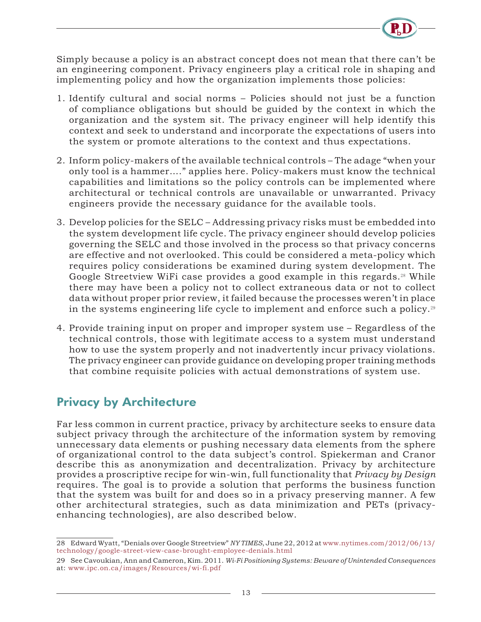

Simply because a policy is an abstract concept does not mean that there can't be an engineering component. Privacy engineers play a critical role in shaping and implementing policy and how the organization implements those policies:

- 1. Identify cultural and social norms Policies should not just be a function of compliance obligations but should be guided by the context in which the organization and the system sit. The privacy engineer will help identify this context and seek to understand and incorporate the expectations of users into the system or promote alterations to the context and thus expectations.
- 2. Inform policy-makers of the available technical controls The adage "when your only tool is a hammer…." applies here. Policy-makers must know the technical capabilities and limitations so the policy controls can be implemented where architectural or technical controls are unavailable or unwarranted. Privacy engineers provide the necessary guidance for the available tools.
- 3. Develop policies for the SELC Addressing privacy risks must be embedded into the system development life cycle. The privacy engineer should develop policies governing the SELC and those involved in the process so that privacy concerns are effective and not overlooked. This could be considered a meta-policy which requires policy considerations be examined during system development. The Google Streetview WiFi case provides a good example in this regards.<sup>28</sup> While there may have been a policy not to collect extraneous data or not to collect data without proper prior review, it failed because the processes weren't in place in the systems engineering life cycle to implement and enforce such a policy.<sup>29</sup>
- 4. Provide training input on proper and improper system use Regardless of the technical controls, those with legitimate access to a system must understand how to use the system properly and not inadvertently incur privacy violations. The privacy engineer can provide guidance on developing proper training methods that combine requisite policies with actual demonstrations of system use.

#### Privacy by Architecture

Far less common in current practice, privacy by architecture seeks to ensure data subject privacy through the architecture of the information system by removing unnecessary data elements or pushing necessary data elements from the sphere of organizational control to the data subject's control. Spiekerman and Cranor describe this as anonymization and decentralization. Privacy by architecture provides a proscriptive recipe for win-win, full functionality that *Privacy by Design* requires. The goal is to provide a solution that performs the business function that the system was built for and does so in a privacy preserving manner. A few other architectural strategies, such as data minimization and PETs (privacyenhancing technologies), are also described below.

<sup>28</sup> Edward Wyatt, "Denials over Google Streetview" *NY TIMES*, June 22, 2012 at www.nytimes.com/2012/06/13/ technology/google-street-view-case-brought-employee-denials.html

<sup>29</sup> See Cavoukian, Ann and Cameron, Kim. 2011. *Wi-Fi Positioning Systems: Beware of Unintended Consequences*  at: www.ipc.on.ca/images/Resources/wi-fi.pdf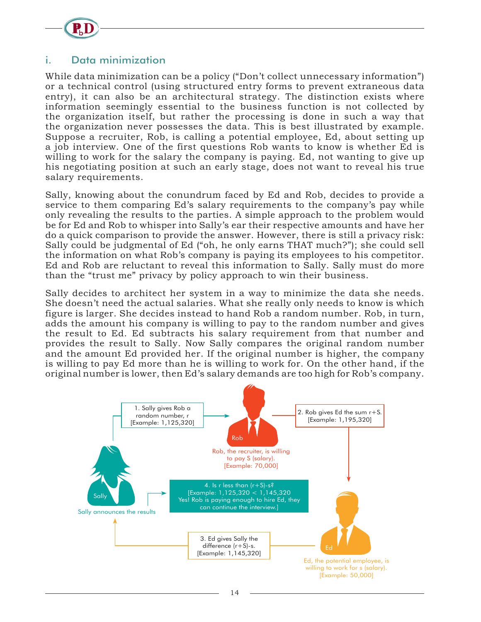

#### i. Data minimization

While data minimization can be a policy ("Don't collect unnecessary information") or a technical control (using structured entry forms to prevent extraneous data entry), it can also be an architectural strategy. The distinction exists where information seemingly essential to the business function is not collected by the organization itself, but rather the processing is done in such a way that the organization never possesses the data. This is best illustrated by example. Suppose a recruiter, Rob, is calling a potential employee, Ed, about setting up a job interview. One of the first questions Rob wants to know is whether Ed is willing to work for the salary the company is paying. Ed, not wanting to give up his negotiating position at such an early stage, does not want to reveal his true salary requirements.

Sally, knowing about the conundrum faced by Ed and Rob, decides to provide a service to them comparing Ed's salary requirements to the company's pay while only revealing the results to the parties. A simple approach to the problem would be for Ed and Rob to whisper into Sally's ear their respective amounts and have her do a quick comparison to provide the answer. However, there is still a privacy risk: Sally could be judgmental of Ed ("oh, he only earns THAT much?"); she could sell the information on what Rob's company is paying its employees to his competitor. Ed and Rob are reluctant to reveal this information to Sally. Sally must do more than the "trust me" privacy by policy approach to win their business.

Sally decides to architect her system in a way to minimize the data she needs. She doesn't need the actual salaries. What she really only needs to know is which figure is larger. She decides instead to hand Rob a random number. Rob, in turn, adds the amount his company is willing to pay to the random number and gives the result to Ed. Ed subtracts his salary requirement from that number and provides the result to Sally. Now Sally compares the original random number and the amount Ed provided her. If the original number is higher, the company is willing to pay Ed more than he is willing to work for. On the other hand, if the original number is lower, then Ed's salary demands are too high for Rob's company.

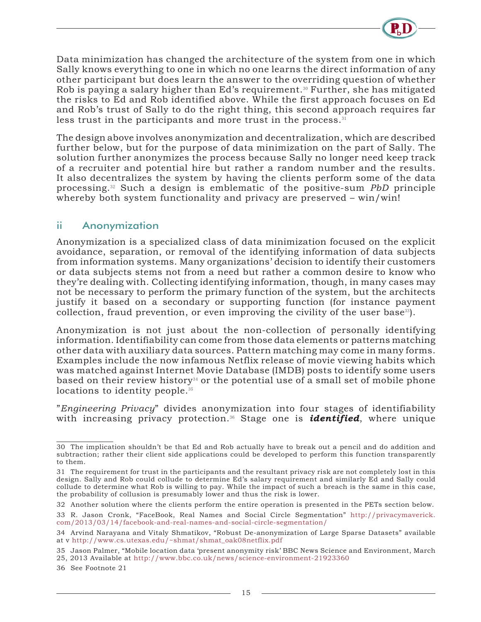

Data minimization has changed the architecture of the system from one in which Sally knows everything to one in which no one learns the direct information of any other participant but does learn the answer to the overriding question of whether Rob is paying a salary higher than Ed's requirement.<sup>30</sup> Further, she has mitigated the risks to Ed and Rob identified above. While the first approach focuses on Ed and Rob's trust of Sally to do the right thing, this second approach requires far less trust in the participants and more trust in the process.<sup>31</sup>

The design above involves anonymization and decentralization, which are described further below, but for the purpose of data minimization on the part of Sally. The solution further anonymizes the process because Sally no longer need keep track of a recruiter and potential hire but rather a random number and the results. It also decentralizes the system by having the clients perform some of the data processing.32 Such a design is emblematic of the positive-sum *PbD* principle whereby both system functionality and privacy are preserved – win/win!

#### ii Anonymization

Anonymization is a specialized class of data minimization focused on the explicit avoidance, separation, or removal of the identifying information of data subjects from information systems. Many organizations' decision to identify their customers or data subjects stems not from a need but rather a common desire to know who they're dealing with. Collecting identifying information, though, in many cases may not be necessary to perform the primary function of the system, but the architects justify it based on a secondary or supporting function (for instance payment collection, fraud prevention, or even improving the civility of the user base<sup>33</sup>).

Anonymization is not just about the non-collection of personally identifying information. Identifiability can come from those data elements or patterns matching other data with auxiliary data sources. Pattern matching may come in many forms. Examples include the now infamous Netflix release of movie viewing habits which was matched against Internet Movie Database (IMDB) posts to identify some users based on their review history<sup>34</sup> or the potential use of a small set of mobile phone locations to identity people.<sup>35</sup>

"*Engineering Privacy*" divides anonymization into four stages of identifiability with increasing privacy protection.36 Stage one is *identified*, where unique

36 See Footnote 21

<sup>30</sup> The implication shouldn't be that Ed and Rob actually have to break out a pencil and do addition and subtraction; rather their client side applications could be developed to perform this function transparently to them.

<sup>31</sup> The requirement for trust in the participants and the resultant privacy risk are not completely lost in this design. Sally and Rob could collude to determine Ed's salary requirement and similarly Ed and Sally could collude to determine what Rob is willing to pay. While the impact of such a breach is the same in this case, the probability of collusion is presumably lower and thus the risk is lower.

<sup>32</sup> Another solution where the clients perform the entire operation is presented in the PETs section below. 33 R. Jason Cronk, "FaceBook, Real Names and Social Circle Segmentation" http://privacymaverick. com/2013/03/14/facebook-and-real-names-and-social-circle-segmentation/

<sup>34</sup> Arvind Narayana and Vitaly Shmatikov, "Robust De-anonymization of Large Sparse Datasets" available at v http://www.cs.utexas.edu/~shmat/shmat\_oak08netflix.pdf

<sup>35</sup> Jason Palmer, "Mobile location data 'present anonymity risk' BBC News Science and Environment, March 25, 2013 Available at http://www.bbc.co.uk/news/science-environment-21923360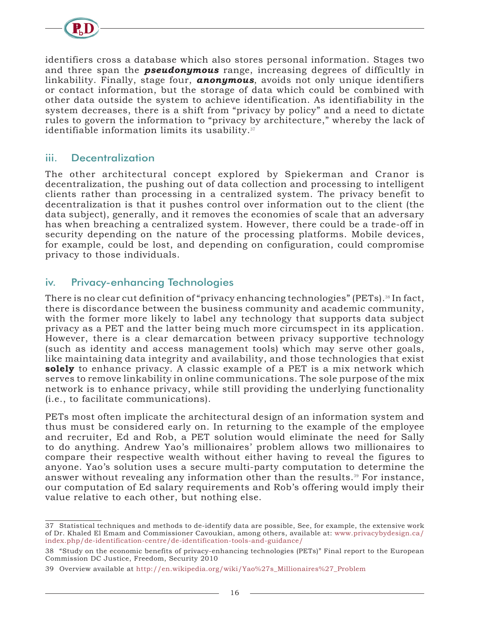

identifiers cross a database which also stores personal information. Stages two and three span the *pseudonymous* range, increasing degrees of difficultly in linkability. Finally, stage four, *anonymous*, avoids not only unique identifiers or contact information, but the storage of data which could be combined with other data outside the system to achieve identification. As identifiability in the system decreases, there is a shift from "privacy by policy" and a need to dictate rules to govern the information to "privacy by architecture," whereby the lack of identifiable information limits its usability. $37$ 

#### iii. Decentralization

The other architectural concept explored by Spiekerman and Cranor is decentralization, the pushing out of data collection and processing to intelligent clients rather than processing in a centralized system. The privacy benefit to decentralization is that it pushes control over information out to the client (the data subject), generally, and it removes the economies of scale that an adversary has when breaching a centralized system. However, there could be a trade-off in security depending on the nature of the processing platforms. Mobile devices, for example, could be lost, and depending on configuration, could compromise privacy to those individuals.

#### iv. Privacy-enhancing Technologies

There is no clear cut definition of "privacy enhancing technologies" (PETs).<sup>38</sup> In fact, there is discordance between the business community and academic community, with the former more likely to label any technology that supports data subject privacy as a PET and the latter being much more circumspect in its application. However, there is a clear demarcation between privacy supportive technology (such as identity and access management tools) which may serve other goals, like maintaining data integrity and availability, and those technologies that exist **solely** to enhance privacy. A classic example of a PET is a mix network which serves to remove linkability in online communications. The sole purpose of the mix network is to enhance privacy, while still providing the underlying functionality (i.e., to facilitate communications).

PETs most often implicate the architectural design of an information system and thus must be considered early on. In returning to the example of the employee and recruiter, Ed and Rob, a PET solution would eliminate the need for Sally to do anything. Andrew Yao's millionaires' problem allows two millionaires to compare their respective wealth without either having to reveal the figures to anyone. Yao's solution uses a secure multi-party computation to determine the answer without revealing any information other than the results.<sup>39</sup> For instance, our computation of Ed salary requirements and Rob's offering would imply their value relative to each other, but nothing else.

<sup>37</sup> Statistical techniques and methods to de-identify data are possible, See, for example, the extensive work of Dr. Khaled El Emam and Commissioner Cavoukian, among others, available at: www.privacybydesign.ca/ index.php/de-identification-centre/de-identification-tools-and-guidance/

<sup>38</sup> "Study on the economic benefits of privacy-enhancing technologies (PETs)" Final report to the European Commission DC Justice, Freedom, Security 2010

<sup>39</sup> Overview available at http://en.wikipedia.org/wiki/Yao%27s\_Millionaires%27\_Problem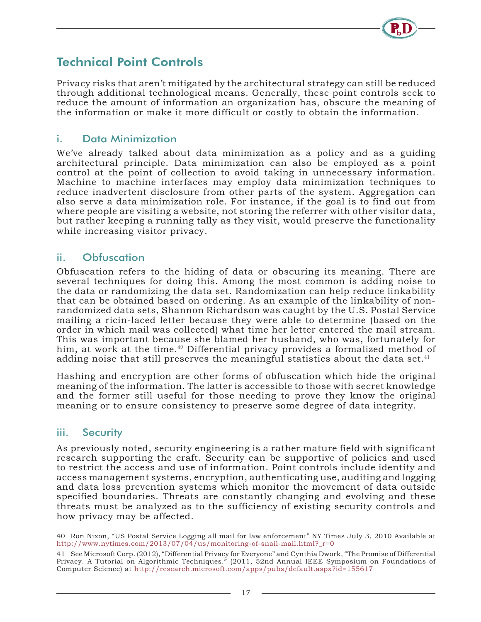### Technical Point Controls

Privacy risks that aren't mitigated by the architectural strategy can still be reduced through additional technological means. Generally, these point controls seek to reduce the amount of information an organization has, obscure the meaning of the information or make it more difficult or costly to obtain the information.

#### i. Data Minimization

We've already talked about data minimization as a policy and as a guiding architectural principle. Data minimization can also be employed as a point control at the point of collection to avoid taking in unnecessary information. Machine to machine interfaces may employ data minimization techniques to reduce inadvertent disclosure from other parts of the system. Aggregation can also serve a data minimization role. For instance, if the goal is to find out from where people are visiting a website, not storing the referrer with other visitor data, but rather keeping a running tally as they visit, would preserve the functionality while increasing visitor privacy.

#### ii. Obfuscation

Obfuscation refers to the hiding of data or obscuring its meaning. There are several techniques for doing this. Among the most common is adding noise to the data or randomizing the data set. Randomization can help reduce linkability that can be obtained based on ordering. As an example of the linkability of nonrandomized data sets, Shannon Richardson was caught by the U.S. Postal Service mailing a ricin-laced letter because they were able to determine (based on the order in which mail was collected) what time her letter entered the mail stream. This was important because she blamed her husband, who was, fortunately for him, at work at the time.<sup>40</sup> Differential privacy provides a formalized method of adding noise that still preserves the meaningful statistics about the data set.<sup>41</sup>

Hashing and encryption are other forms of obfuscation which hide the original meaning of the information. The latter is accessible to those with secret knowledge and the former still useful for those needing to prove they know the original meaning or to ensure consistency to preserve some degree of data integrity.

#### iii. Security

As previously noted, security engineering is a rather mature field with significant research supporting the craft. Security can be supportive of policies and used to restrict the access and use of information. Point controls include identity and access management systems, encryption, authenticating use, auditing and logging and data loss prevention systems which monitor the movement of data outside specified boundaries. Threats are constantly changing and evolving and these threats must be analyzed as to the sufficiency of existing security controls and how privacy may be affected.

<sup>40</sup> Ron Nixon, "US Postal Service Logging all mail for law enforcement" NY Times July 3, 2010 Available at http://www.nytimes.com/2013/07/04/us/monitoring-of-snail-mail.html?\_r=0

<sup>41</sup> See Microsoft Corp. (2012), "Differential Privacy for Everyone" and Cynthia Dwork, "The Promise of Differential Privacy. A Tutorial on Algorithmic Techniques." (2011, 52nd Annual IEEE Symposium on Foundations of Computer Science) at http://research.microsoft.com/apps/pubs/default.aspx?id=155617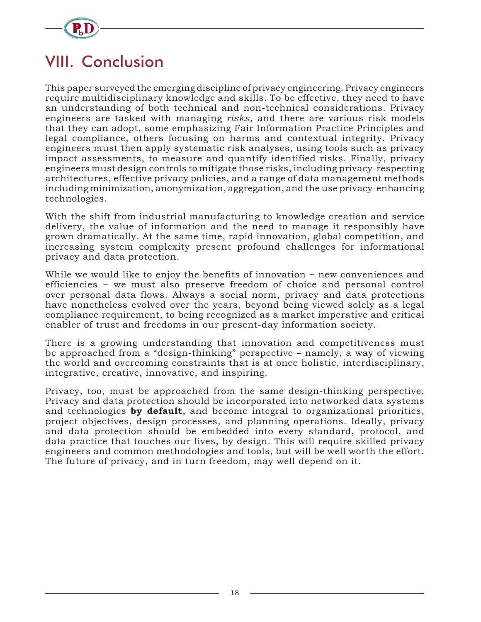

# VIII. Conclusion

This paper surveyed the emerging discipline of privacy engineering. Privacy engineers require multidisciplinary knowledge and skills. To be effective, they need to have an understanding of both technical and non-technical considerations. Privacy engineers are tasked with managing *risks*, and there are various risk models that they can adopt, some emphasizing Fair Information Practice Principles and legal compliance, others focusing on harms and contextual integrity. Privacy engineers must then apply systematic risk analyses, using tools such as privacy impact assessments, to measure and quantify identified risks. Finally, privacy engineers must design controls to mitigate those risks, including privacy-respecting architectures, effective privacy policies, and a range of data management methods including minimization, anonymization, aggregation, and the use privacy-enhancing technologies.

With the shift from industrial manufacturing to knowledge creation and service delivery, the value of information and the need to manage it responsibly have grown dramatically. At the same time, rapid innovation, global competition, and increasing system complexity present profound challenges for informational privacy and data protection.

While we would like to enjoy the benefits of innovation − new conveniences and efficiencies − we must also preserve freedom of choice and personal control over personal data flows. Always a social norm, privacy and data protections have nonetheless evolved over the years, beyond being viewed solely as a legal compliance requirement, to being recognized as a market imperative and critical enabler of trust and freedoms in our present-day information society.

There is a growing understanding that innovation and competitiveness must be approached from a "design-thinking" perspective – namely, a way of viewing the world and overcoming constraints that is at once holistic, interdisciplinary, integrative, creative, innovative, and inspiring.

Privacy, too, must be approached from the same design-thinking perspective. Privacy and data protection should be incorporated into networked data systems and technologies **by default**, and become integral to organizational priorities, project objectives, design processes, and planning operations. Ideally, privacy and data protection should be embedded into every standard, protocol, and data practice that touches our lives, by design. This will require skilled privacy engineers and common methodologies and tools, but will be well worth the effort. The future of privacy, and in turn freedom, may well depend on it.